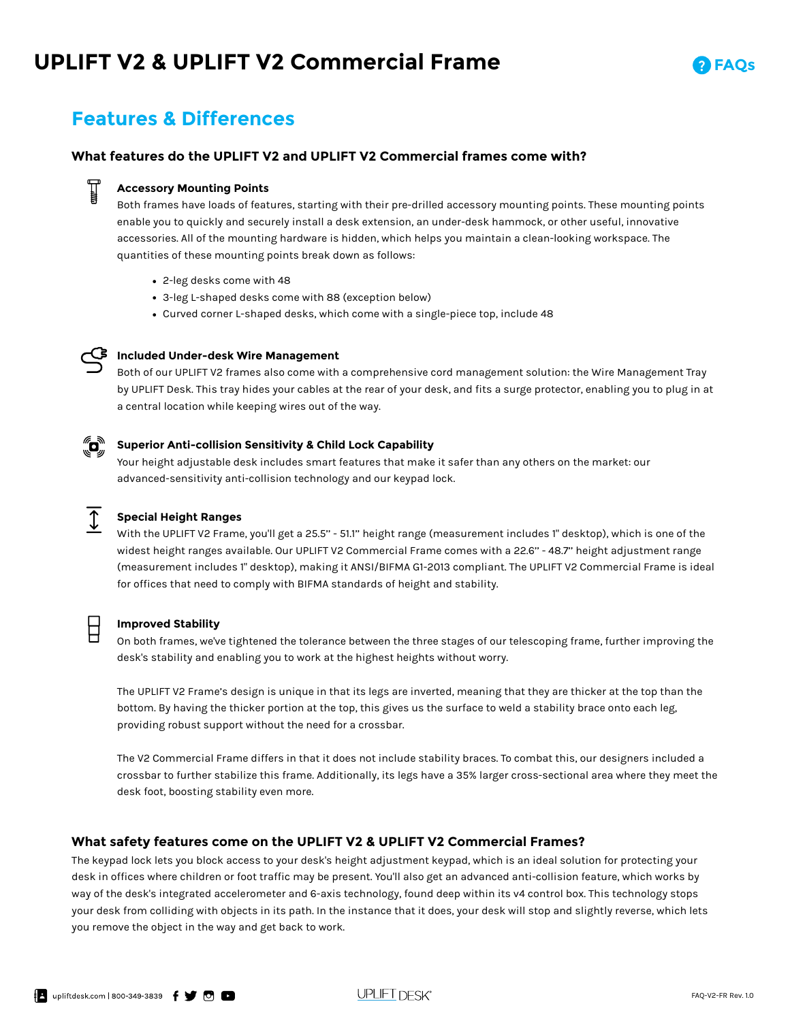# **UPLIFT V2 & UPLIFT V2 Commercial Frame**



### **Features & Differences**

#### **What features do the UPLIFT V2 and UPLIFT V2 Commercial frames come with?**

#### **Accessory Mounting Points**

Both frames have loads of features, starting with their pre-drilled accessory mounting points. These mounting points enable you to quickly and securely install a desk extension, an under-desk hammock, or other useful, innovative accessories. All of the mounting hardware is hidden, which helps you maintain a clean-looking workspace. The quantities of these mounting points break down as follows:

- 2-leg desks come with 48 **•**
- 3-leg L-shaped desks come with 88 (exception below) **•**
- Curved corner L-shaped desks, which come with a single-piece top, include 48 **•**



### **Included Under-desk Wire Management**

Both of our UPLIFT V2 frames also come with a comprehensive cord management solution: the Wire Management Tray by UPLIFT Desk. This tray hides your cables at the rear of your desk, and fits a surge protector, enabling you to plug in at a central location while keeping wires out of the way.

#### "o" **Superior Anti-collision Sensitivity & Child Lock Capability**

Your height adjustable desk includes smart features that make it safer than any others on the market: our advanced-sensitivity anti-collision technology and our keypad lock.



#### **Special Height Ranges**

With the UPLIFT V2 Frame, you'll get a 25.5'' - 51.1'' height range (measurement includes 1" desktop), which is one of the widest height ranges available. Our UPLIFT V2 Commercial Frame comes with a 22.6'' - 48.7'' height adjustment range (measurement includes 1" desktop), making it ANSI/BIFMA G1-2013 compliant. The UPLIFT V2 Commercial Frame is ideal for offices that need to comply with BIFMA standards of height and stability.

#### **Improved Stability**

On both frames, we've tightened the tolerance between the three stages of our telescoping frame, further improving the desk's stability and enabling you to work at the highest heights without worry.

The UPLIFT V2 Frame's design is unique in that its legs are inverted, meaning that they are thicker at the top than the bottom. By having the thicker portion at the top, this gives us the surface to weld a stability brace onto each leg, providing robust support without the need for a crossbar.

The V2 Commercial Frame differs in that it does not include stability braces. To combat this, our designers included a crossbar to further stabilize this frame. Additionally, its legs have a 35% larger cross-sectional area where they meet the desk foot, boosting stability even more.

#### **What safety features come on the UPLIFT V2 & UPLIFT V2 Commercial Frames?**

The keypad lock lets you block access to your desk's height adjustment keypad, which is an ideal solution for protecting your desk in offices where children or foot traffic may be present. You'll also get an advanced anti-collision feature, which works by way of the desk's integrated accelerometer and 6-axis technology, found deep within its v4 control box. This technology stops your desk from colliding with objects in its path. In the instance that it does, your desk will stop and slightly reverse, which lets you remove the object in the way and get back to work.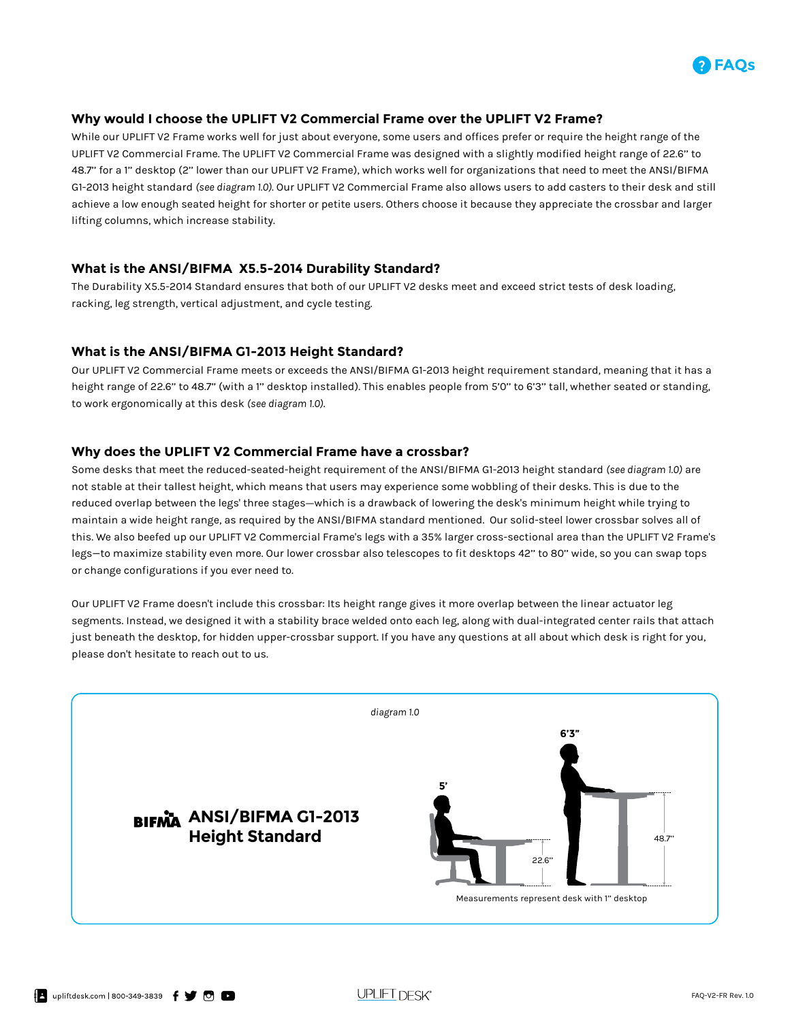

#### **Why would I choose the UPLIFT V2 Commercial Frame over the UPLIFT V2 Frame?**

While our UPLIFT V2 Frame works well for just about everyone, some users and offices prefer or require the height range of the UPLIFT V2 Commercial Frame. The UPLIFT V2 Commercial Frame was designed with a slightly modified height range of 22.6'' to 48.7'' for a 1'' desktop (2'' lower than our UPLIFT V2 Frame), which works well for organizations that need to meet the ANSI/BIFMA G1-2013 height standard *(see diagram 1.0)*. Our UPLIFT V2 Commercial Frame also allows users to add casters to their desk and still achieve a low enough seated height for shorter or petite users. Others choose it because they appreciate the crossbar and larger lifting columns, which increase stability.

#### **What is the ANSI/BIFMA X5.5-2014 Durability Standard?**

The Durability X5.5-2014 Standard ensures that both of our UPLIFT V2 desks meet and exceed strict tests of desk loading, racking, leg strength, vertical adjustment, and cycle testing.

#### **What is the ANSI/BIFMA G1-2013 Height Standard?**

Our UPLIFT V2 Commercial Frame meets or exceeds the ANSI/BIFMA G1-2013 height requirement standard, meaning that it has a height range of 22.6'' to 48.7'' (with a 1'' desktop installed). This enables people from 5'0'' to 6'3'' tall, whether seated or standing, to work ergonomically at this desk *(see diagram 1.0)*.

#### **Why does the UPLIFT V2 Commercial Frame have a crossbar?**

Some desks that meet the reduced-seated-height requirement of the ANSI/BIFMA G1-2013 height standard *(see diagram 1.0)* are not stable at their tallest height, which means that users may experience some wobbling of their desks. This is due to the reduced overlap between the legs' three stages-which is a drawback of lowering the desk's minimum height while trying to maintain a wide height range, as required by the ANSI/BIFMA standard mentioned. Our solid-steel lower crossbar solves all of this. We also beefed up our UPLIFT V2 Commercial Frame's legs with a 35% larger cross-sectional area than the UPLIFT V2 Frame's legs—to maximize stability even more. Our lower crossbar also telescopes to fit desktops 42'' to 80'' wide, so you can swap tops or change configurations if you ever need to.

Our UPLIFT V2 Frame doesn't include this crossbar: Its height range gives it more overlap between the linear actuator leg segments. Instead, we designed it with a stability brace welded onto each leg, along with dual-integrated center rails that attach just beneath the desktop, for hidden upper-crossbar support. If you have any questions at all about which desk is right for you, please don't hesitate to reach out to us.

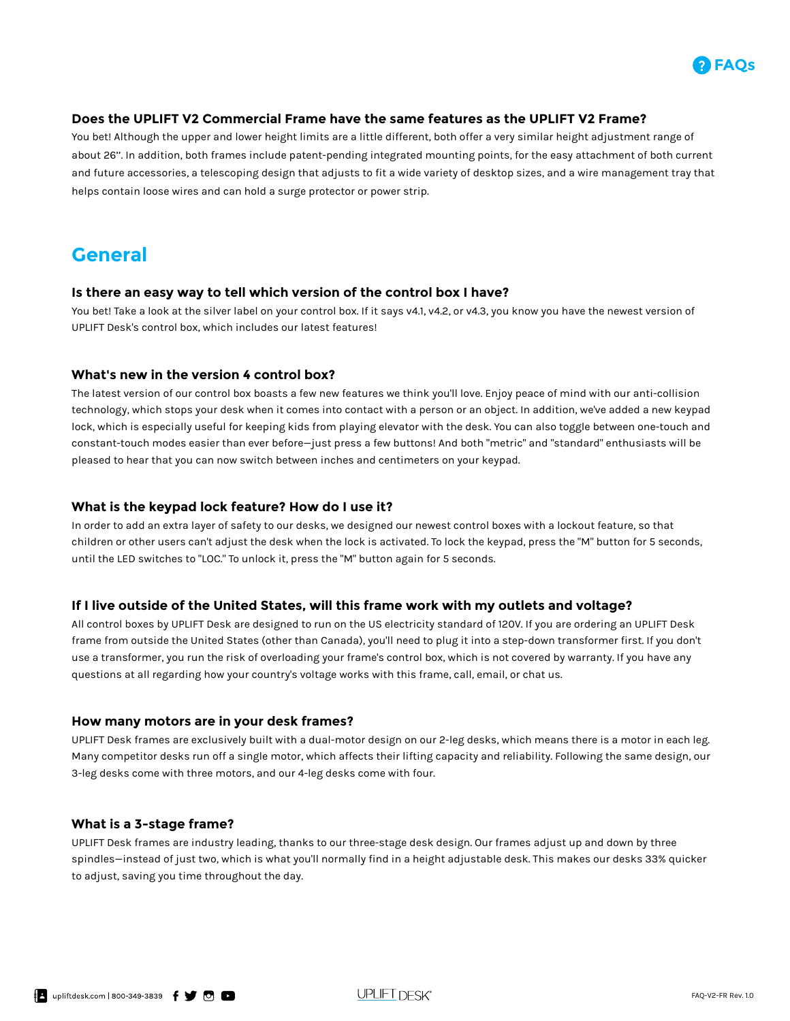

#### **Does the UPLIFT V2 Commercial Frame have the same features as the UPLIFT V2 Frame?**

You bet! Although the upper and lower height limits are a little different, both offer a very similar height adjustment range of about 26''. In addition, both frames include patent-pending integrated mounting points, for the easy attachment of both current and future accessories, a telescoping design that adjusts to fit a wide variety of desktop sizes, and a wire management tray that helps contain loose wires and can hold a surge protector or power strip.

### **General**

#### **Is there an easy way to tell which version of the control box I have?**

You bet! Take a look at the silver label on your control box. If it says v4.1, v4.2, or v4.3, you know you have the newest version of UPLIFT Desk's control box, which includes our latest features!

#### **What's new in the version 4 control box?**

The latest version of our control box boasts a few new features we think you'll love. Enjoy peace of mind with our anti-collision technology, which stops your desk when it comes into contact with a person or an object. In addition, we've added a new keypad lock, which is especially useful for keeping kids from playing elevator with the desk. You can also toggle between one-touch and constant-touch modes easier than ever before—just press a few buttons! And both "metric" and "standard" enthusiasts will be pleased to hear that you can now switch between inches and centimeters on your keypad.

#### **What is the keypad lock feature? How do I use it?**

In order to add an extra layer of safety to our desks, we designed our newest control boxes with a lockout feature, so that children or other users can't adjust the desk when the lock is activated. To lock the keypad, press the "M" button for 5 seconds, until the LED switches to "LOC." To unlock it, press the "M" button again for 5 seconds.

#### **If I live outside of the United States, will this frame work with my outlets and voltage?**

All control boxes by UPLIFT Desk are designed to run on the US electricity standard of 120V. If you are ordering an UPLIFT Desk frame from outside the United States (other than Canada), you'll need to plug it into a step-down transformer first. If you don't use a transformer, you run the risk of overloading your frame's control box, which is not covered by warranty. If you have any questions at all regarding how your country's voltage works with this frame, call, email, or chat us.

#### **How many motors are in your desk frames?**

UPLIFT Desk frames are exclusively built with a dual-motor design on our 2-leg desks, which means there is a motor in each leg. Many competitor desks run off a single motor, which affects their lifting capacity and reliability. Following the same design, our 3-leg desks come with three motors, and our 4-leg desks come with four.

#### **What is a 3-stage frame?**

UPLIFT Desk frames are industry leading, thanks to our three-stage desk design. Our frames adjust up and down by three spindles—instead of just two, which is what you'll normally find in a height adjustable desk. This makes our desks 33% quicker to adjust, saving you time throughout the day.